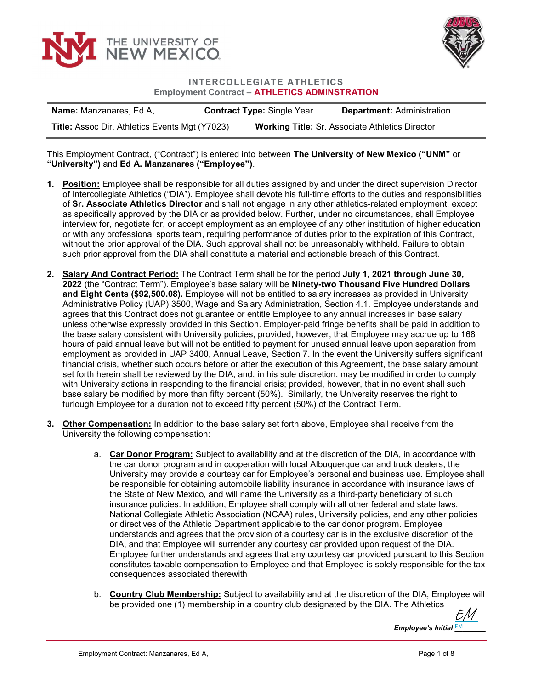



## INTERCOLLEGIATE ATHLETICS Employment Contract – ATHLETICS ADMINSTRATION

| <b>Name:</b> Manzanares, Ed A,                        | <b>Contract Type: Single Year</b> | <b>Department: Administration</b>                      |
|-------------------------------------------------------|-----------------------------------|--------------------------------------------------------|
| <b>Title: Assoc Dir, Athletics Events Mgt (Y7023)</b> |                                   | <b>Working Title: Sr. Associate Athletics Director</b> |

## This Employment Contract, ("Contract") is entered into between The University of New Mexico ("UNM" or "University") and Ed A. Manzanares ("Employee").

- 1. Position: Employee shall be responsible for all duties assigned by and under the direct supervision Director of Intercollegiate Athletics ("DIA"). Employee shall devote his full-time efforts to the duties and responsibilities of Sr. Associate Athletics Director and shall not engage in any other athletics-related employment, except as specifically approved by the DIA or as provided below. Further, under no circumstances, shall Employee interview for, negotiate for, or accept employment as an employee of any other institution of higher education or with any professional sports team, requiring performance of duties prior to the expiration of this Contract, without the prior approval of the DIA. Such approval shall not be unreasonably withheld. Failure to obtain such prior approval from the DIA shall constitute a material and actionable breach of this Contract.
- 2. Salary And Contract Period: The Contract Term shall be for the period July 1, 2021 through June 30, 2022 (the "Contract Term"). Employee's base salary will be Ninety-two Thousand Five Hundred Dollars and Eight Cents (\$92,500.08). Employee will not be entitled to salary increases as provided in University Administrative Policy (UAP) 3500, Wage and Salary Administration, Section 4.1. Employee understands and agrees that this Contract does not guarantee or entitle Employee to any annual increases in base salary unless otherwise expressly provided in this Section. Employer-paid fringe benefits shall be paid in addition to the base salary consistent with University policies, provided, however, that Employee may accrue up to 168 hours of paid annual leave but will not be entitled to payment for unused annual leave upon separation from employment as provided in UAP 3400, Annual Leave, Section 7. In the event the University suffers significant financial crisis, whether such occurs before or after the execution of this Agreement, the base salary amount set forth herein shall be reviewed by the DIA, and, in his sole discretion, may be modified in order to comply with University actions in responding to the financial crisis; provided, however, that in no event shall such base salary be modified by more than fifty percent (50%). Similarly, the University reserves the right to furlough Employee for a duration not to exceed fifty percent (50%) of the Contract Term.
- 3. Other Compensation: In addition to the base salary set forth above, Employee shall receive from the University the following compensation:
	- a. Car Donor Program: Subject to availability and at the discretion of the DIA, in accordance with the car donor program and in cooperation with local Albuquerque car and truck dealers, the University may provide a courtesy car for Employee's personal and business use. Employee shall be responsible for obtaining automobile liability insurance in accordance with insurance laws of the State of New Mexico, and will name the University as a third-party beneficiary of such insurance policies. In addition, Employee shall comply with all other federal and state laws, National Collegiate Athletic Association (NCAA) rules, University policies, and any other policies or directives of the Athletic Department applicable to the car donor program. Employee understands and agrees that the provision of a courtesy car is in the exclusive discretion of the DIA, and that Employee will surrender any courtesy car provided upon request of the DIA. Employee further understands and agrees that any courtesy car provided pursuant to this Section constitutes taxable compensation to Employee and that Employee is solely responsible for the tax consequences associated therewith
	- b. Country Club Membership: Subject to availability and at the discretion of the DIA, Employee will be provided one (1) membership in a country club designated by the DIA. The Athletics

[EM](https://secure.na2.adobesign.com/verifier?tx=CBJCHBCAABAA8FH3BsJs4gdWL95Alyko5dK1njdncLxk)

Employee's Initial  $\frac{\mathsf{EM}}{\mathsf{EM}}$  \_\_\_\_\_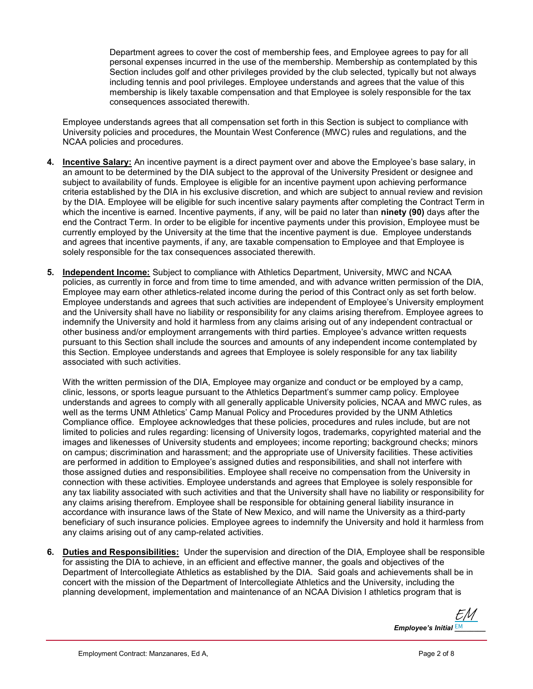Department agrees to cover the cost of membership fees, and Employee agrees to pay for all personal expenses incurred in the use of the membership. Membership as contemplated by this Section includes golf and other privileges provided by the club selected, typically but not always including tennis and pool privileges. Employee understands and agrees that the value of this membership is likely taxable compensation and that Employee is solely responsible for the tax consequences associated therewith.

Employee understands agrees that all compensation set forth in this Section is subject to compliance with University policies and procedures, the Mountain West Conference (MWC) rules and regulations, and the NCAA policies and procedures.

- 4. Incentive Salary: An incentive payment is a direct payment over and above the Employee's base salary, in an amount to be determined by the DIA subject to the approval of the University President or designee and subject to availability of funds. Employee is eligible for an incentive payment upon achieving performance criteria established by the DIA in his exclusive discretion, and which are subject to annual review and revision by the DIA. Employee will be eligible for such incentive salary payments after completing the Contract Term in which the incentive is earned. Incentive payments, if any, will be paid no later than **ninety (90)** days after the end the Contract Term. In order to be eligible for incentive payments under this provision, Employee must be currently employed by the University at the time that the incentive payment is due. Employee understands and agrees that incentive payments, if any, are taxable compensation to Employee and that Employee is solely responsible for the tax consequences associated therewith.
- 5. Independent Income: Subject to compliance with Athletics Department, University, MWC and NCAA policies, as currently in force and from time to time amended, and with advance written permission of the DIA, Employee may earn other athletics-related income during the period of this Contract only as set forth below. Employee understands and agrees that such activities are independent of Employee's University employment and the University shall have no liability or responsibility for any claims arising therefrom. Employee agrees to indemnify the University and hold it harmless from any claims arising out of any independent contractual or other business and/or employment arrangements with third parties. Employee's advance written requests pursuant to this Section shall include the sources and amounts of any independent income contemplated by this Section. Employee understands and agrees that Employee is solely responsible for any tax liability associated with such activities.

With the written permission of the DIA, Employee may organize and conduct or be employed by a camp, clinic, lessons, or sports league pursuant to the Athletics Department's summer camp policy. Employee understands and agrees to comply with all generally applicable University policies, NCAA and MWC rules, as well as the terms UNM Athletics' Camp Manual Policy and Procedures provided by the UNM Athletics Compliance office. Employee acknowledges that these policies, procedures and rules include, but are not limited to policies and rules regarding: licensing of University logos, trademarks, copyrighted material and the images and likenesses of University students and employees; income reporting; background checks; minors on campus; discrimination and harassment; and the appropriate use of University facilities. These activities are performed in addition to Employee's assigned duties and responsibilities, and shall not interfere with those assigned duties and responsibilities. Employee shall receive no compensation from the University in connection with these activities. Employee understands and agrees that Employee is solely responsible for any tax liability associated with such activities and that the University shall have no liability or responsibility for any claims arising therefrom. Employee shall be responsible for obtaining general liability insurance in accordance with insurance laws of the State of New Mexico, and will name the University as a third-party beneficiary of such insurance policies. Employee agrees to indemnify the University and hold it harmless from any claims arising out of any camp-related activities.

6. Duties and Responsibilities: Under the supervision and direction of the DIA, Employee shall be responsible for assisting the DIA to achieve, in an efficient and effective manner, the goals and objectives of the Department of Intercollegiate Athletics as established by the DIA. Said goals and achievements shall be in concert with the mission of the Department of Intercollegiate Athletics and the University, including the planning development, implementation and maintenance of an NCAA Division I athletics program that is

Employee's Initial  $\frac{\mathsf{EM}}{\mathsf{EM}}$  \_\_\_\_\_ [EM](https://secure.na2.adobesign.com/verifier?tx=CBJCHBCAABAA8FH3BsJs4gdWL95Alyko5dK1njdncLxk)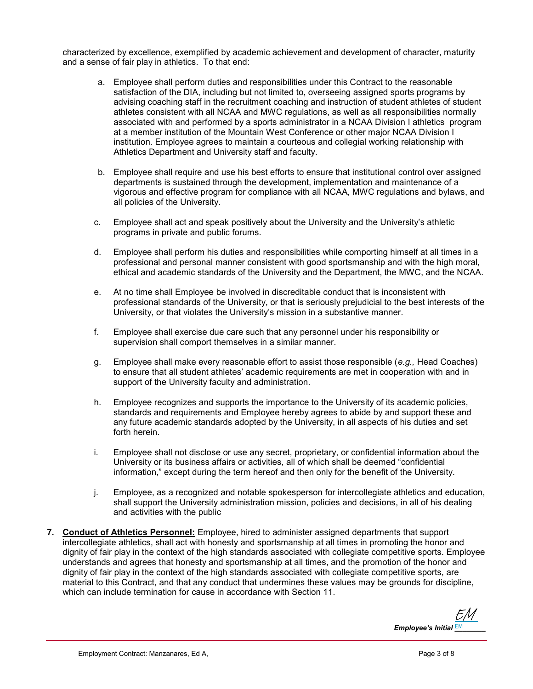characterized by excellence, exemplified by academic achievement and development of character, maturity and a sense of fair play in athletics. To that end:

- a. Employee shall perform duties and responsibilities under this Contract to the reasonable satisfaction of the DIA, including but not limited to, overseeing assigned sports programs by advising coaching staff in the recruitment coaching and instruction of student athletes of student athletes consistent with all NCAA and MWC regulations, as well as all responsibilities normally associated with and performed by a sports administrator in a NCAA Division I athletics program at a member institution of the Mountain West Conference or other major NCAA Division I institution. Employee agrees to maintain a courteous and collegial working relationship with Athletics Department and University staff and faculty.
- b. Employee shall require and use his best efforts to ensure that institutional control over assigned departments is sustained through the development, implementation and maintenance of a vigorous and effective program for compliance with all NCAA, MWC regulations and bylaws, and all policies of the University.
- c. Employee shall act and speak positively about the University and the University's athletic programs in private and public forums.
- d. Employee shall perform his duties and responsibilities while comporting himself at all times in a professional and personal manner consistent with good sportsmanship and with the high moral, ethical and academic standards of the University and the Department, the MWC, and the NCAA.
- e. At no time shall Employee be involved in discreditable conduct that is inconsistent with professional standards of the University, or that is seriously prejudicial to the best interests of the University, or that violates the University's mission in a substantive manner.
- f. Employee shall exercise due care such that any personnel under his responsibility or supervision shall comport themselves in a similar manner.
- g. Employee shall make every reasonable effort to assist those responsible  $(e.g., Head Coaches)$ to ensure that all student athletes' academic requirements are met in cooperation with and in support of the University faculty and administration.
- h. Employee recognizes and supports the importance to the University of its academic policies, standards and requirements and Employee hereby agrees to abide by and support these and any future academic standards adopted by the University, in all aspects of his duties and set forth herein.
- i. Employee shall not disclose or use any secret, proprietary, or confidential information about the University or its business affairs or activities, all of which shall be deemed "confidential information," except during the term hereof and then only for the benefit of the University.
- j. Employee, as a recognized and notable spokesperson for intercollegiate athletics and education, shall support the University administration mission, policies and decisions, in all of his dealing and activities with the public
- 7. Conduct of Athletics Personnel: Employee, hired to administer assigned departments that support intercollegiate athletics, shall act with honesty and sportsmanship at all times in promoting the honor and dignity of fair play in the context of the high standards associated with collegiate competitive sports. Employee understands and agrees that honesty and sportsmanship at all times, and the promotion of the honor and dignity of fair play in the context of the high standards associated with collegiate competitive sports, are material to this Contract, and that any conduct that undermines these values may be grounds for discipline, which can include termination for cause in accordance with Section 11.

Employee's Initial  $\frac{\mathsf{EM}}{\mathsf{EM}}$  \_\_\_\_\_ [EM](https://secure.na2.adobesign.com/verifier?tx=CBJCHBCAABAA8FH3BsJs4gdWL95Alyko5dK1njdncLxk)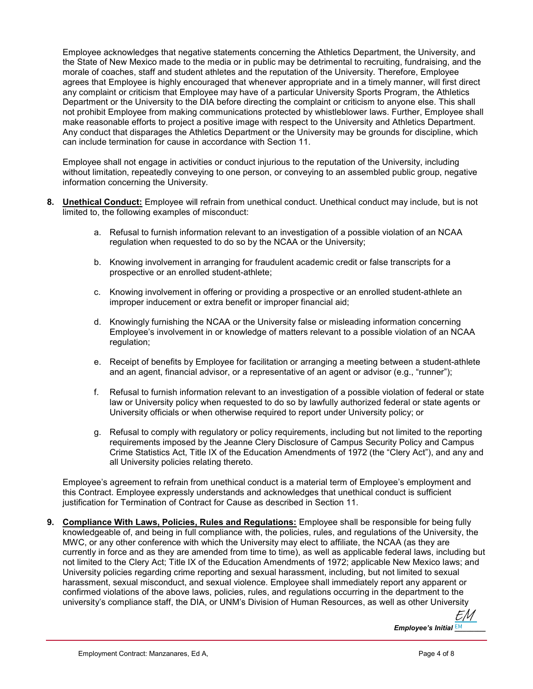Employee acknowledges that negative statements concerning the Athletics Department, the University, and the State of New Mexico made to the media or in public may be detrimental to recruiting, fundraising, and the morale of coaches, staff and student athletes and the reputation of the University. Therefore, Employee agrees that Employee is highly encouraged that whenever appropriate and in a timely manner, will first direct any complaint or criticism that Employee may have of a particular University Sports Program, the Athletics Department or the University to the DIA before directing the complaint or criticism to anyone else. This shall not prohibit Employee from making communications protected by whistleblower laws. Further, Employee shall make reasonable efforts to project a positive image with respect to the University and Athletics Department. Any conduct that disparages the Athletics Department or the University may be grounds for discipline, which can include termination for cause in accordance with Section 11.

Employee shall not engage in activities or conduct injurious to the reputation of the University, including without limitation, repeatedly conveying to one person, or conveying to an assembled public group, negative information concerning the University.

- 8. Unethical Conduct: Employee will refrain from unethical conduct. Unethical conduct may include, but is not limited to, the following examples of misconduct:
	- a. Refusal to furnish information relevant to an investigation of a possible violation of an NCAA regulation when requested to do so by the NCAA or the University;
	- b. Knowing involvement in arranging for fraudulent academic credit or false transcripts for a prospective or an enrolled student-athlete;
	- c. Knowing involvement in offering or providing a prospective or an enrolled student-athlete an improper inducement or extra benefit or improper financial aid;
	- d. Knowingly furnishing the NCAA or the University false or misleading information concerning Employee's involvement in or knowledge of matters relevant to a possible violation of an NCAA regulation;
	- e. Receipt of benefits by Employee for facilitation or arranging a meeting between a student-athlete and an agent, financial advisor, or a representative of an agent or advisor (e.g., "runner");
	- f. Refusal to furnish information relevant to an investigation of a possible violation of federal or state law or University policy when requested to do so by lawfully authorized federal or state agents or University officials or when otherwise required to report under University policy; or
	- g. Refusal to comply with regulatory or policy requirements, including but not limited to the reporting requirements imposed by the Jeanne Clery Disclosure of Campus Security Policy and Campus Crime Statistics Act, Title IX of the Education Amendments of 1972 (the "Clery Act"), and any and all University policies relating thereto.

Employee's agreement to refrain from unethical conduct is a material term of Employee's employment and this Contract. Employee expressly understands and acknowledges that unethical conduct is sufficient justification for Termination of Contract for Cause as described in Section 11.

9. Compliance With Laws, Policies, Rules and Regulations: Employee shall be responsible for being fully knowledgeable of, and being in full compliance with, the policies, rules, and regulations of the University, the MWC, or any other conference with which the University may elect to affiliate, the NCAA (as they are currently in force and as they are amended from time to time), as well as applicable federal laws, including but not limited to the Clery Act; Title IX of the Education Amendments of 1972; applicable New Mexico laws; and University policies regarding crime reporting and sexual harassment, including, but not limited to sexual harassment, sexual misconduct, and sexual violence. Employee shall immediately report any apparent or confirmed violations of the above laws, policies, rules, and regulations occurring in the department to the university's compliance staff, the DIA, or UNM's Division of Human Resources, as well as other University

> Employee's Initial EM \_\_\_\_\_\_ [EM](https://secure.na2.adobesign.com/verifier?tx=CBJCHBCAABAA8FH3BsJs4gdWL95Alyko5dK1njdncLxk)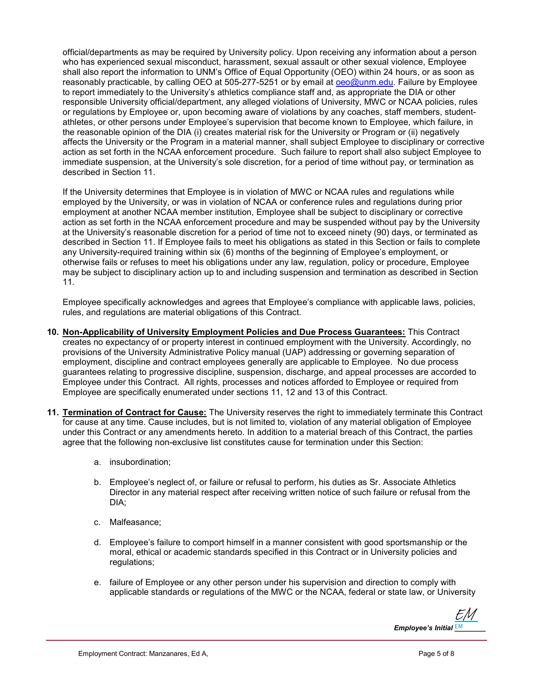official/departments as may be required by University policy. Upon receiving any information about a person who has experienced sexual misconduct, harassment, sexual assault or other sexual violence, Employee shall also report the information to UNM's Office of Equal Opportunity (OEO) within 24 hours, or as soon as reasonably practicable, by calling OEO at 505-277-5251 or by email at oeo@unm.edu. Failure by Employee to report immediately to the University's athletics compliance staff and, as appropriate the DIA or other responsible University official/department, any alleged violations of University, MWC or NCAA policies, rules or regulations by Employee or, upon becoming aware of violations by any coaches, staff members, studentathletes, or other persons under Employee's supervision that become known to Employee, which failure, in the reasonable opinion of the DIA (i) creates material risk for the University or Program or (ii) negatively affects the University or the Program in a material manner, shall subject Employee to disciplinary or corrective action as set forth in the NCAA enforcement procedure. Such failure to report shall also subject Employee to immediate suspension, at the University's sole discretion, for a period of time without pay, or termination as described in Section 11.

If the University determines that Employee is in violation of MWC or NCAA rules and regulations while employed by the University, or was in violation of NCAA or conference rules and regulations during prior employment at another NCAA member institution, Employee shall be subject to disciplinary or corrective action as set forth in the NCAA enforcement procedure and may be suspended without pay by the University at the University's reasonable discretion for a period of time not to exceed ninety (90) days, or terminated as described in Section 11. If Employee fails to meet his obligations as stated in this Section or fails to complete any University-required training within six (6) months of the beginning of Employee's employment, or otherwise fails or refuses to meet his obligations under any law, regulation, policy or procedure, Employee may be subject to disciplinary action up to and including suspension and termination as described in Section 11.

Employee specifically acknowledges and agrees that Employee's compliance with applicable laws, policies, rules, and regulations are material obligations of this Contract.

- 10. Non-Applicability of University Employment Policies and Due Process Guarantees: This Contract creates no expectancy of or property interest in continued employment with the University. Accordingly, no provisions of the University Administrative Policy manual (UAP) addressing or governing separation of employment, discipline and contract employees generally are applicable to Employee. No due process guarantees relating to progressive discipline, suspension, discharge, and appeal processes are accorded to Employee under this Contract. All rights, processes and notices afforded to Employee or required from Employee are specifically enumerated under sections 11, 12 and 13 of this Contract.
- 11. Termination of Contract for Cause: The University reserves the right to immediately terminate this Contract for cause at any time. Cause includes, but is not limited to, violation of any material obligation of Employee under this Contract or any amendments hereto. In addition to a material breach of this Contract, the parties agree that the following non-exclusive list constitutes cause for termination under this Section:
	- a. insubordination;
	- b. Employee's neglect of, or failure or refusal to perform, his duties as Sr. Associate Athletics Director in any material respect after receiving written notice of such failure or refusal from the DIA;
	- c. Malfeasance;
	- d. Employee's failure to comport himself in a manner consistent with good sportsmanship or the moral, ethical or academic standards specified in this Contract or in University policies and regulations;
	- e. failure of Employee or any other person under his supervision and direction to comply with applicable standards or regulations of the MWC or the NCAA, federal or state law, or University

Employee's Initial  $\frac{\mathsf{EM}}{\mathsf{EM}}$  \_\_\_\_\_ [EM](https://secure.na2.adobesign.com/verifier?tx=CBJCHBCAABAA8FH3BsJs4gdWL95Alyko5dK1njdncLxk)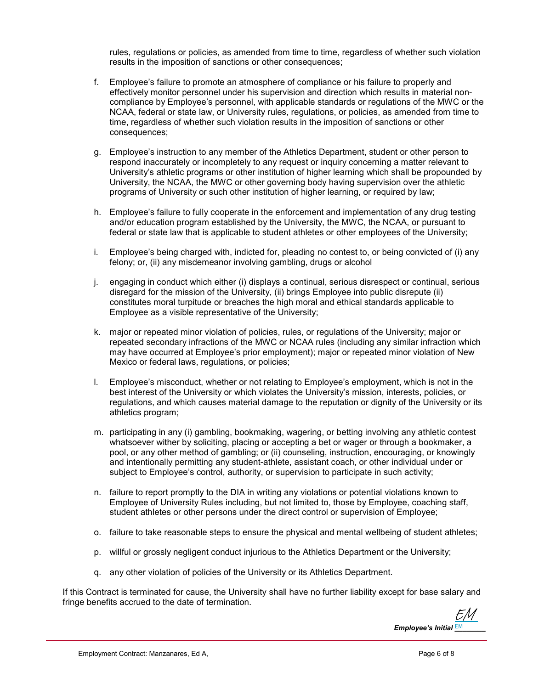rules, regulations or policies, as amended from time to time, regardless of whether such violation results in the imposition of sanctions or other consequences;

- f. Employee's failure to promote an atmosphere of compliance or his failure to properly and effectively monitor personnel under his supervision and direction which results in material noncompliance by Employee's personnel, with applicable standards or regulations of the MWC or the NCAA, federal or state law, or University rules, regulations, or policies, as amended from time to time, regardless of whether such violation results in the imposition of sanctions or other consequences;
- g. Employee's instruction to any member of the Athletics Department, student or other person to respond inaccurately or incompletely to any request or inquiry concerning a matter relevant to University's athletic programs or other institution of higher learning which shall be propounded by University, the NCAA, the MWC or other governing body having supervision over the athletic programs of University or such other institution of higher learning, or required by law;
- h. Employee's failure to fully cooperate in the enforcement and implementation of any drug testing and/or education program established by the University, the MWC, the NCAA, or pursuant to federal or state law that is applicable to student athletes or other employees of the University;
- i. Employee's being charged with, indicted for, pleading no contest to, or being convicted of (i) any felony; or, (ii) any misdemeanor involving gambling, drugs or alcohol
- j. engaging in conduct which either (i) displays a continual, serious disrespect or continual, serious disregard for the mission of the University, (ii) brings Employee into public disrepute (ii) constitutes moral turpitude or breaches the high moral and ethical standards applicable to Employee as a visible representative of the University;
- k. major or repeated minor violation of policies, rules, or regulations of the University; major or repeated secondary infractions of the MWC or NCAA rules (including any similar infraction which may have occurred at Employee's prior employment); major or repeated minor violation of New Mexico or federal laws, regulations, or policies;
- l. Employee's misconduct, whether or not relating to Employee's employment, which is not in the best interest of the University or which violates the University's mission, interests, policies, or regulations, and which causes material damage to the reputation or dignity of the University or its athletics program;
- m. participating in any (i) gambling, bookmaking, wagering, or betting involving any athletic contest whatsoever wither by soliciting, placing or accepting a bet or wager or through a bookmaker, a pool, or any other method of gambling; or (ii) counseling, instruction, encouraging, or knowingly and intentionally permitting any student-athlete, assistant coach, or other individual under or subject to Employee's control, authority, or supervision to participate in such activity;
- n. failure to report promptly to the DIA in writing any violations or potential violations known to Employee of University Rules including, but not limited to, those by Employee, coaching staff, student athletes or other persons under the direct control or supervision of Employee;
- o. failure to take reasonable steps to ensure the physical and mental wellbeing of student athletes;
- p. willful or grossly negligent conduct injurious to the Athletics Department or the University;
- q. any other violation of policies of the University or its Athletics Department.

If this Contract is terminated for cause, the University shall have no further liability except for base salary and fringe benefits accrued to the date of termination.

Employee's Initial  $\frac{\mathsf{EM}}{\mathsf{EM}}$  \_\_\_\_\_ [EM](https://secure.na2.adobesign.com/verifier?tx=CBJCHBCAABAA8FH3BsJs4gdWL95Alyko5dK1njdncLxk)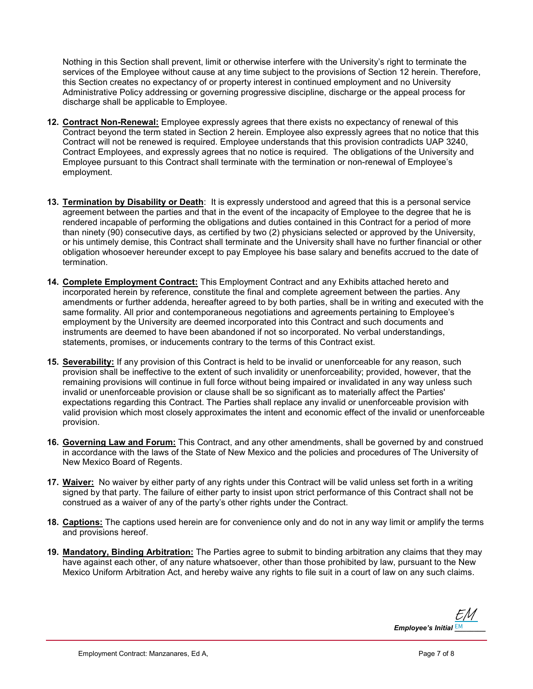Nothing in this Section shall prevent, limit or otherwise interfere with the University's right to terminate the services of the Employee without cause at any time subject to the provisions of Section 12 herein. Therefore, this Section creates no expectancy of or property interest in continued employment and no University Administrative Policy addressing or governing progressive discipline, discharge or the appeal process for discharge shall be applicable to Employee.

- 12. Contract Non-Renewal: Employee expressly agrees that there exists no expectancy of renewal of this Contract beyond the term stated in Section 2 herein. Employee also expressly agrees that no notice that this Contract will not be renewed is required. Employee understands that this provision contradicts UAP 3240, Contract Employees, and expressly agrees that no notice is required. The obligations of the University and Employee pursuant to this Contract shall terminate with the termination or non-renewal of Employee's employment.
- 13. Termination by Disability or Death: It is expressly understood and agreed that this is a personal service agreement between the parties and that in the event of the incapacity of Employee to the degree that he is rendered incapable of performing the obligations and duties contained in this Contract for a period of more than ninety (90) consecutive days, as certified by two (2) physicians selected or approved by the University, or his untimely demise, this Contract shall terminate and the University shall have no further financial or other obligation whosoever hereunder except to pay Employee his base salary and benefits accrued to the date of termination.
- 14. Complete Employment Contract: This Employment Contract and any Exhibits attached hereto and incorporated herein by reference, constitute the final and complete agreement between the parties. Any amendments or further addenda, hereafter agreed to by both parties, shall be in writing and executed with the same formality. All prior and contemporaneous negotiations and agreements pertaining to Employee's employment by the University are deemed incorporated into this Contract and such documents and instruments are deemed to have been abandoned if not so incorporated. No verbal understandings, statements, promises, or inducements contrary to the terms of this Contract exist.
- 15. Severability: If any provision of this Contract is held to be invalid or unenforceable for any reason, such provision shall be ineffective to the extent of such invalidity or unenforceability; provided, however, that the remaining provisions will continue in full force without being impaired or invalidated in any way unless such invalid or unenforceable provision or clause shall be so significant as to materially affect the Parties' expectations regarding this Contract. The Parties shall replace any invalid or unenforceable provision with valid provision which most closely approximates the intent and economic effect of the invalid or unenforceable provision.
- 16. Governing Law and Forum: This Contract, and any other amendments, shall be governed by and construed in accordance with the laws of the State of New Mexico and the policies and procedures of The University of New Mexico Board of Regents.
- 17. Waiver: No waiver by either party of any rights under this Contract will be valid unless set forth in a writing signed by that party. The failure of either party to insist upon strict performance of this Contract shall not be construed as a waiver of any of the party's other rights under the Contract.
- 18. Captions: The captions used herein are for convenience only and do not in any way limit or amplify the terms and provisions hereof.
- 19. Mandatory, Binding Arbitration: The Parties agree to submit to binding arbitration any claims that they may have against each other, of any nature whatsoever, other than those prohibited by law, pursuant to the New Mexico Uniform Arbitration Act, and hereby waive any rights to file suit in a court of law on any such claims.

Employee's Initial  $\frac{\mathsf{EM}}{\mathsf{EM}}$  \_\_\_\_\_ [EM](https://secure.na2.adobesign.com/verifier?tx=CBJCHBCAABAA8FH3BsJs4gdWL95Alyko5dK1njdncLxk)